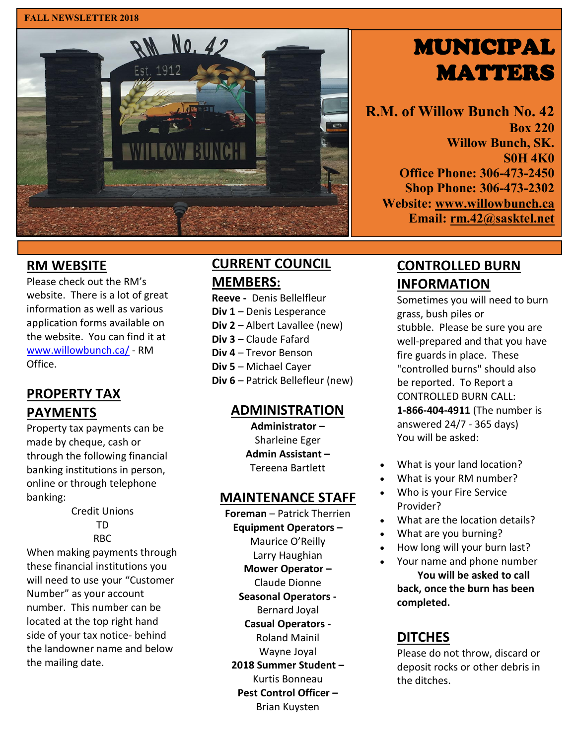#### **FALL NEWSLETTER 2018**



# MUNICIPAL **MATTERS**

**R.M. of Willow Bunch No. 42 Box 220 Willow Bunch, SK. S0H 4K0 Office Phone: 306-473-2450 Shop Phone: 306-473-2302 Website: [www.willowbunch.ca](http://www.willowbunch.ca/) Email: [rm.42@sasktel.net](mailto:rm.42@sasktel.net)**

## **RM WEBSITE**

Please check out the RM's website. There is a lot of great information as well as various application forms available on the website. You can find it at [www.willowbunch.ca/](http://www.willowbunch.ca/) - RM Office.

# **PROPERTY TAX PAYMENTS**

Property tax payments can be made by cheque, cash or through the following financial banking institutions in person, online or through telephone banking:

> Credit Unions TD RBC

When making payments through these financial institutions you will need to use your "Customer Number" as your account number. This number can be located at the top right hand side of your tax notice- behind the landowner name and below the mailing date.

# **CURRENT COUNCIL MEMBERS:**

**Reeve -** Denis Bellelfleur **Div 1** – Denis Lesperance **Div 2** – Albert Lavallee (new) **Div 3** – Claude Fafard **Div 4** – Trevor Benson **Div 5** – Michael Cayer **Div 6** – Patrick Bellefleur (new)

## **ADMINISTRATION**

**Administrator –** Sharleine Eger **Admin Assistant –** Tereena Bartlett

#### **MAINTENANCE STAFF**

- **Foreman**  Patrick Therrien **Equipment Operators –** Maurice O'Reilly Larry Haughian
	- **Mower Operator –** Claude Dionne
	- **Seasonal Operators -** Bernard Joyal
	- **Casual Operators -** Roland Mainil Wayne Joyal **2018 Summer Student –**
- Kurtis Bonneau **Pest Control Officer –** Brian Kuysten

**CONTROLLED BURN INFORMATION**

Sometimes you will need to burn grass, bush piles or stubble. Please be sure you are well-prepared and that you have fire guards in place. These "controlled burns" should also be reported. To Report a CONTROLLED BURN CALL: **1-866-404-4911** (The number is answered 24/7 - 365 days) You will be asked:

- What is your land location?
- What is your RM number?
- Who is your Fire Service Provider?
- What are the location details?
- What are you burning?
- How long will your burn last?
- Your name and phone number **You will be asked to call back, once the burn has been completed.**

# **DITCHES**

Please do not throw, discard or deposit rocks or other debris in the ditches.